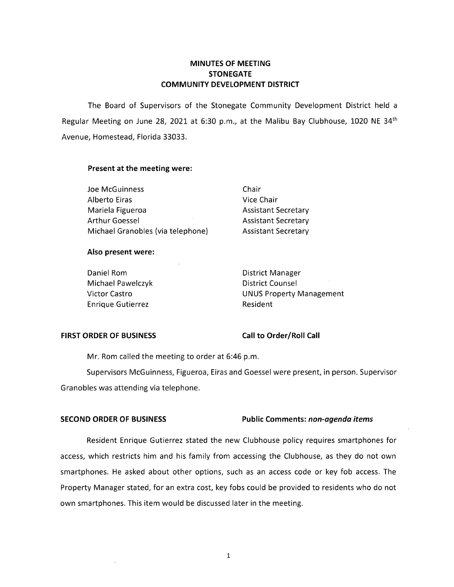# **MINUTES OF MEETING STONEGATE COMMUNITY DEVELOPMENT DISTRICT**

The Board of Supervisors of the Stonegate Community Development District held a Regular Meeting on June 28, 2021 at 6:30 p.m., at the Malibu Bay Clubhouse, 1020 NE 34<sup>th</sup> Avenue, Homestead, Florida 33033.

### **Present at the meeting were:**

Joe McGuinness Chair Alberto Eiras **Vice Chair** Mariela Figueroa **Assistant Secretary** Arthur Goessel **Assistant Secretary** Michael Granobles (via telephone) Assistant Secretary

### **Also present were:**

Daniel Rom **District Manager** Michael Pawelczyk District Counsel Enrique Gutierrez **Resident** 

Victor Castro **Victor Castro Castro Castro Castro Castro Castro Castro Castro Castro Castro Castro Castro Castro Castro Castro Castro Castro Castro Castro Castro Castro Castro Castro Castro Castro Castro Castro Castro Cast** 

## **FIRST ORDER OF BUSINESS Call to Order/Roll Call**

Mr. Rom called the meeting to order at 6:46 p.m.

Supervisors McGuinness, Figueroa, Eiras and Goessel were present, in person. Supervisor Granobles was attending via telephone.

## **SECOND ORDER OF BUSINESS Public Comments:** *non-agenda items*

Resident Enrique Gutierrez stated the new Clubhouse policy requires smartphones for access, which restricts him and his family from accessing the Clubhouse, as they do not own smartphones. He asked about other options, such as an access code or key fob access. The Property Manager stated, for an extra cost, key fobs could be provided to residents who do not own smartphones. This item would be discussed later in the meeting.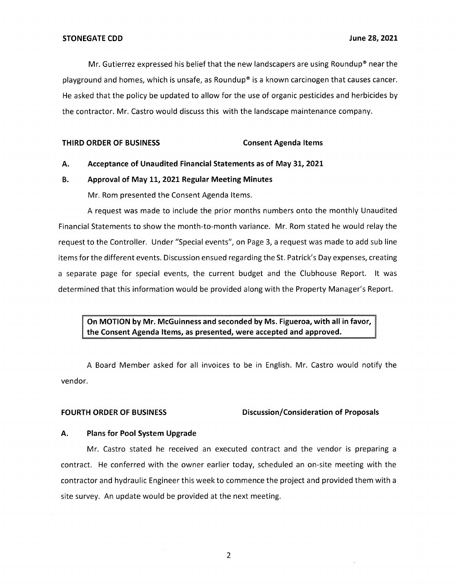Mr. Gutierrez expressed his belief that the new landscapers are using Roundup® near the playground and homes, which is unsafe, as Roundup® is a known carcinogen that causes cancer. He asked that the policy be updated to allow for the use of organic pesticides and herbicides by the contractor. Mr. Castro would discuss this with the landscape maintenance company.

**THIRD ORDER OF BUSINESS Consent Agenda Items** 

## **A. Acceptance of Unaudited Financial Statements as of May 31, 2021**

# **B. Approval of May 11, 2021 Regular Meeting Minutes**

Mr. Rom presented the Consent Agenda Items.

A request was made to include the prior months numbers onto the monthly Unaudited Financial Statements to show the month-to-month variance. Mr. Rom stated he would relay the request to the Controller. Under "Special events", on Page 3, a request was made to add sub line items for the different events. Discussion ensued regarding the St. Patrick's Day expenses, creating a separate page for special events, the current budget and the Clubhouse Report. It was determined that this information would be provided along with the Property Manager's Report.

**On MOTION by Mr. McGuinness and seconded by Ms. Figueroa, with all in favor, the Consent Agenda Items, as presented, were accepted and approved.** 

A Board Member asked for all invoices to be in English. Mr. Castro would notify the vendor.

## FOURTH ORDER OF BUSINESS Discussion/Consideration of Proposals

## **A. Plans for Pool System Upgrade**

Mr. Castro stated he received an executed contract and the vendor is preparing a contract. He conferred with the owner earlier today, scheduled an on-site meeting with the contractor and hydraulic Engineer this week to commence the project and provided them with a site survey. An update would be provided at the next meeting.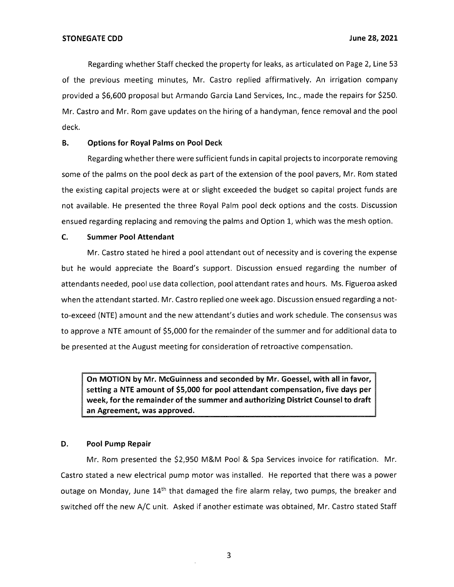Regarding whether Staff checked the property for leaks, as articulated on Page 2, Line 53 of the previous meeting minutes, Mr. Castro replied affirmatively. An irrigation company provided a \$6,600 proposal but Armando Garcia Land Services, Inc., made the repairs for \$250. Mr. Castro and Mr. Rom gave updates on the hiring of a handyman, fence removal and the pool deck.

## **B. Options for Royal Palms on Pool Deck**

Regarding whether there were sufficient funds in capital projects to incorporate removing some of the palms on the pool deck as part of the extension of the pool pavers, Mr. Rom stated the existing capital projects were at or slight exceeded the budget so capital project funds are not available. He presented the three Royal Palm pool deck options and the costs. Discussion ensued regarding replacing and removing the palms and Option 1, which was the mesh option.

## **C. Summer Pool Attendant**

Mr. Castro stated he hired a pool attendant out of necessity and is covering the expense but he would appreciate the Board's support. Discussion ensued regarding the number of attendants needed, pool use data collection, pool attendant rates and hours. Ms. Figueroa asked when the attendant started. Mr. Castro replied one week ago. Discussion ensued regarding a notto-exceed (NTE) amount and the new attendant's duties and work schedule. The consensus was to approve a NTE amount of \$5,000 for the remainder of the summer and for additional data to be presented at the August meeting for consideration of retroactive compensation.

**On MOTION by Mr. McGuinness and seconded by Mr. Goessel, with all in favor, setting a NTE amount of \$5,000 for pool attendant compensation, five days per week, for the remainder of the summer and authorizing District Counsel to draft an Agreement, was approved.** 

## **D. Pool Pump Repair**

Mr. Rom presented the \$2,950 M&M Pool & Spa Services invoice for ratification. Mr. Castro stated a new electrical pump motor was installed. He reported that there was a power outage on Monday, June 14<sup>th</sup> that damaged the fire alarm relay, two pumps, the breaker and switched off the new A/C unit. Asked if another estimate was obtained, Mr. Castro stated Staff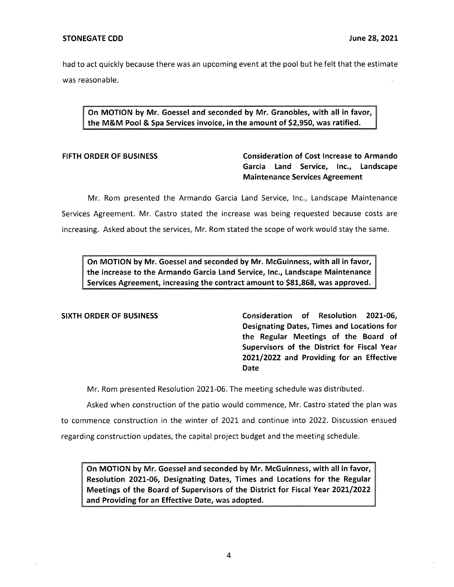had to act quickly because there was an upcoming event at the pool but he felt that the estimate was reasonable.

**On MOTION by Mr. Goessel and seconded by Mr. Granobles, with all in favor, the M&M Pool** & **Spa Services invoice, in the amount of \$2,950, was ratified.** 

# **FIFTH ORDER OF BUSINESS Consideration of Cost Increase to Armando Garcia Land Service, Inc., Landscape Maintenance Services Agreement**

Mr. Rom presented the Armando Garcia Land Service, Inc., Landscape Maintenance Services Agreement. Mr. Castro stated the increase was being requested because costs are increasing. Asked about the services, Mr. Rom stated the scope of work would stay the same.

**On MOTION by Mr. Goessel and seconded by Mr. McGuinness, with all in favor, the increase to the Armando Garcia Land Service, Inc., Landscape Maintenance Services Agreement, increasing the contract amount to \$81,868, was approved.** 

**SIXTH ORDER OF BUSINESS Consideration of Resolution 2021-06, Designating Dates, Times and Locations for the Regular Meetings of the Board of Supervisors of the District for Fiscal Year 2021/2022 and Providing for an Effective Date** 

Mr. Rom presented Resolution 2021-06. The meeting schedule was distributed.

Asked when construction of the patio would commence, Mr. Castro stated the plan was to commence construction in the winter of 2021 and continue into 2022. Discussion ensued regarding construction updates, the capital project budget and the meeting schedule.

**On MOTION by Mr. Goessel and seconded by Mr. McGuinness, with all in favor, Resolution 2021-06, Designating Dates, Times and Locations for the Regular Meetings of the Board of Supervisors of the District for Fiscal Year 2021/2022 and Providing for an Effective Date, was adopted.**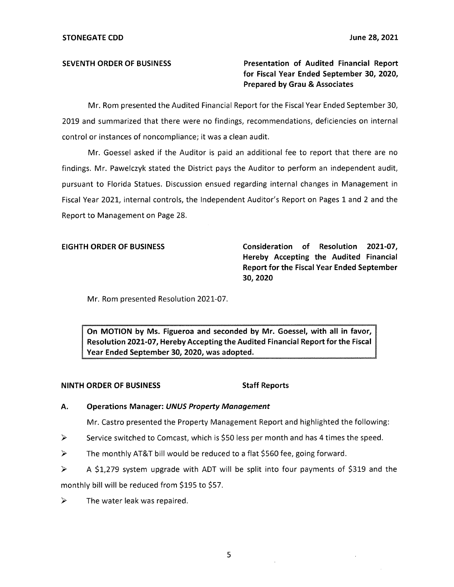**SEVENTH ORDER OF BUSINESS Presentation of Audited Financial Report for Fiscal Year Ended September 30, 2020, Prepared by Grau & Associates** 

Mr. Rom presented the Audited Financial Report for the Fiscal Year Ended September 30, 2019 and summarized that there were no findings, recommendations, deficiencies on internal control or instances of noncompliance; it was a clean audit.

Mr. Goessel asked if the Auditor is paid an additional fee to report that there are no findings. Mr. Pawelczyk stated the District pays the Auditor to perform an independent audit, pursuant to Florida Statues. Discussion ensued regarding internal changes in Management in Fiscal Year 2021, internal controls, the Independent Auditor's Report on Pages 1 and 2 and the Report to Management on Page 28.

**EIGHTH ORDER OF BUSINESS Consideration of Resolution 2021-07, Hereby Accepting the Audited Financial Report for the Fiscal Year Ended September 30,2020** 

Mr. Rom presented Resolution 2021-07.

**On MOTION by Ms. Figueroa and seconded by Mr. Goessel, with all in favor, Resolution 2021-07, Hereby Accepting the Audited Financial Report for the Fiscal Year Ended September 30, 2020, was adopted.** 

## **NINTH ORDER OF BUSINESS** Staff Reports

## **A. Operations Manager: UNUS Property Management**

Mr. Castro presented the Property Management Report and highlighted the following:

- $\triangleright$  Service switched to Comcast, which is \$50 less per month and has 4 times the speed.
- $\triangleright$  The monthly AT&T bill would be reduced to a flat \$560 fee, going forward.

► A \$1,279 system upgrade with ADT will be split into four payments of \$319 and the monthly bill will be reduced from \$195 to \$57.

 $\triangleright$  The water leak was repaired.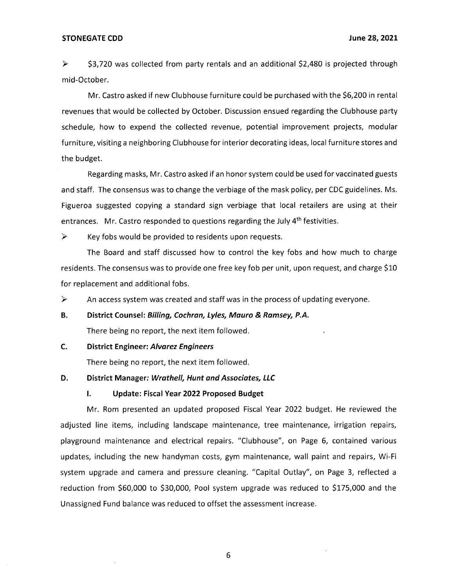### **STONEGATE COD June 28, 2021**

► \$3,720 was collected from party rentals and an additional \$2,480 is projected through mid-October.

Mr. Castro asked if new Clubhouse furniture could be purchased with the \$6,200 in rental revenues that would be collected by October. Discussion ensued regarding the Clubhouse party schedule, how to expend the collected revenue, potential improvement projects, modular furniture, visiting a neighboring Clubhouse for interior decorating ideas, local furniture stores and the budget.

Regarding masks, Mr. Castro asked if an honor system could be used for vaccinated guests and staff. The consensus was to change the verbiage of the mask policy, per CDC guidelines. Ms. Figueroa suggested copying a standard sign verbiage that local retailers are using at their entrances. Mr. Castro responded to questions regarding the July  $4<sup>th</sup>$  festivities.

 $\triangleright$  Key fobs would be provided to residents upon requests.

The Board and staff discussed how to control the key fobs and how much to charge residents. The consensus was to provide one free key fob per unit, upon request, and charge \$10 for replacement and additional fobs.

 $\triangleright$  An access system was created and staff was in the process of updating everyone.

### **B. District Counsel: Billing, Cochran, Lyles, Mauro & Ramsey, P.A.**

There being no report, the next item followed.

### **C. District Engineer: Alvarez Engineers**

There being no report, the next item followed.

### **D. District Manager: Wrathe/1, Hunt and Associates, LLC**

### **I. Update: Fiscal Year 2022 Proposed Budget**

Mr. Rom presented an updated proposed Fiscal Year 2022 budget. He reviewed the adjusted line items, including landscape maintenance, tree maintenance, irrigation repairs, playground maintenance and electrical repairs. "Clubhouse", on Page 6, contained various updates, including the new handyman costs, gym maintenance, wall paint and repairs, Wi-Fi system upgrade and camera and pressure cleaning. "Capital Outlay", on Page 3, reflected a reduction from \$60,000 to \$30,000, Pool system upgrade was reduced to \$175,000 and the Unassigned Fund balance was reduced to offset the assessment increase.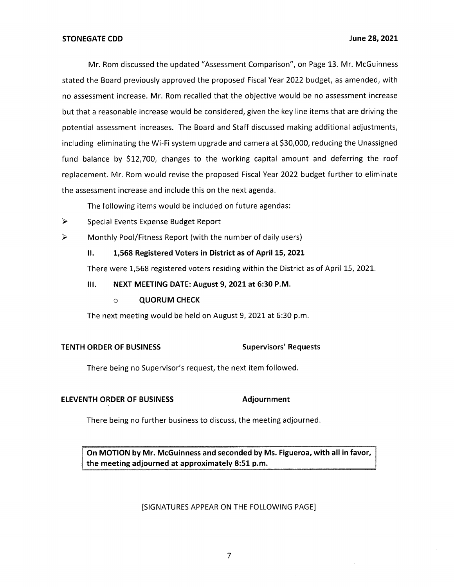Mr. Rom discussed the updated "Assessment Comparison", on Page 13. Mr. McGuinness stated the Board previously approved the proposed Fiscal Year 2022 budget, as amended, with no assessment increase. Mr. Rom recalled that the objective would be no assessment increase but that a reasonable increase would be considered, given the key line items that are driving the potential assessment increases. The Board and Staff discussed making additional adjustments, including eliminating the Wi-Fi system upgrade and camera at \$30,000, reducing the Unassigned fund balance by \$12,700, changes to the working capital amount and deferring the roof replacement. Mr. Rom would revise the proposed Fiscal Year 2022 budget further to eliminate the assessment increase and include this on the next agenda.

The following items would be included on future agendas:

- ► Special Events Expense Budget Report
- ► Monthly Pool/Fitness Report (with the number of daily users)

# II. **1,568 Registered Voters in District as of April 15, 2021**

There were 1,568 registered voters residing within the District as of April 15, 2021.

- **Ill. NEXT MEETING DATE: August 9, 2021 at 6:30 P.M.** 
	- o **QUORUM CHECK**

The next meeting would be held on August 9, 2021 at 6:30 p.m.

# **TENTH ORDER OF BUSINESS Supervisors' Requests**

There being no Supervisor's request, the next item followed.

# **ELEVENTH ORDER OF BUSINESS Adjournment**

There being no further business to discuss, the meeting adjourned.

**OTION by Mr. McGuinness and seconded by Ms. Figueroa, with all in favor,**  the meeting adjourned at approximately 8:51 p.m.

# [SIGNATURES APPEAR ON THE FOLLOWING PAGE]